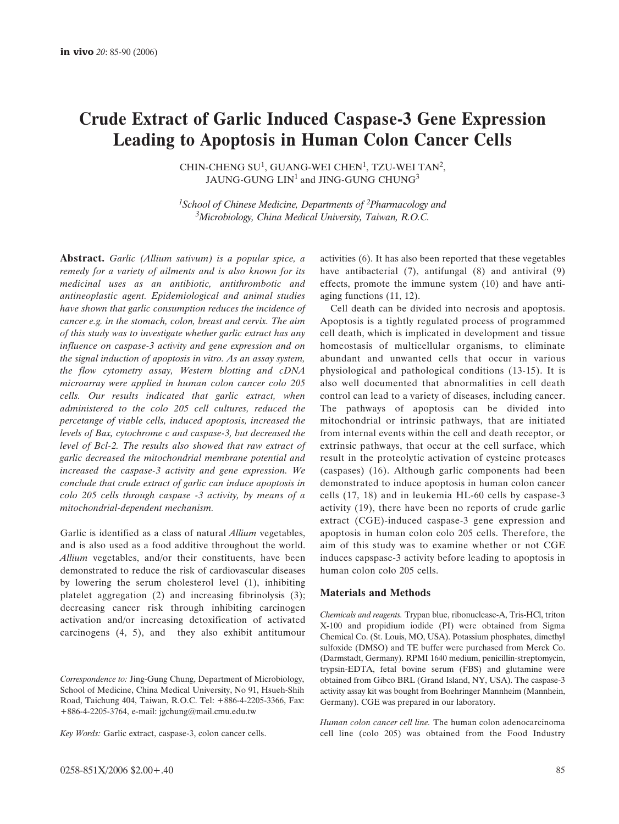# **Crude Extract of Garlic Induced Caspase-3 Gene Expression Leading to Apoptosis in Human Colon Cancer Cells**

CHIN-CHENG  $SU<sup>1</sup>$ , GUANG-WEI CHEN<sup>1</sup>, TZU-WEI TAN<sup>2</sup>, JAUNG-GUNG LIN<sup>1</sup> and JING-GUNG CHUNG<sup>3</sup>

*1School of Chinese Medicine, Departments of 2Pharmacology and 3Microbiology, China Medical University, Taiwan, R.O.C.*

**Abstract.** *Garlic (Allium sativum) is a popular spice, a remedy for a variety of ailments and is also known for its medicinal uses as an antibiotic, antithrombotic and antineoplastic agent. Epidemiological and animal studies have shown that garlic consumption reduces the incidence of cancer e.g. in the stomach, colon, breast and cervix. The aim of this study was to investigate whether garlic extract has any influence on caspase-3 activity and gene expression and on the signal induction of apoptosis in vitro. As an assay system, the flow cytometry assay, Western blotting and cDNA microarray were applied in human colon cancer colo 205 cells. Our results indicated that garlic extract, when administered to the colo 205 cell cultures, reduced the percetange of viable cells, induced apoptosis, increased the levels of Bax, cytochrome c and caspase-3, but decreased the level of Bcl-2. The results also showed that raw extract of garlic decreased the mitochondrial membrane potential and increased the caspase-3 activity and gene expression. We conclude that crude extract of garlic can induce apoptosis in colo 205 cells through caspase -3 activity, by means of a mitochondrial-dependent mechanism.*

Garlic is identified as a class of natural *Allium* vegetables, and is also used as a food additive throughout the world. *Allium* vegetables, and/or their constituents, have been demonstrated to reduce the risk of cardiovascular diseases by lowering the serum cholesterol level (1), inhibiting platelet aggregation (2) and increasing fibrinolysis (3); decreasing cancer risk through inhibiting carcinogen activation and/or increasing detoxification of activated carcinogens (4, 5), and they also exhibit antitumour

*Correspondence to:* Jing-Gung Chung, Department of Microbiology, School of Medicine, China Medical University, No 91, Hsueh-Shih Road, Taichung 404, Taiwan, R.O.C. Tel: +886-4-2205-3366, Fax: +886-4-2205-3764, e-mail: jgchung@mail.cmu.edu.tw

*Key Words:* Garlic extract, caspase-3, colon cancer cells.

activities (6). It has also been reported that these vegetables have antibacterial (7), antifungal (8) and antiviral (9) effects, promote the immune system (10) and have antiaging functions (11, 12).

Cell death can be divided into necrosis and apoptosis. Apoptosis is a tightly regulated process of programmed cell death, which is implicated in development and tissue homeostasis of multicellular organisms, to eliminate abundant and unwanted cells that occur in various physiological and pathological conditions (13-15). It is also well documented that abnormalities in cell death control can lead to a variety of diseases, including cancer. The pathways of apoptosis can be divided into mitochondrial or intrinsic pathways, that are initiated from internal events within the cell and death receptor, or extrinsic pathways, that occur at the cell surface, which result in the proteolytic activation of cysteine proteases (caspases) (16). Although garlic components had been demonstrated to induce apoptosis in human colon cancer cells (17, 18) and in leukemia HL-60 cells by caspase-3 activity (19), there have been no reports of crude garlic extract (CGE)-induced caspase-3 gene expression and apoptosis in human colon colo 205 cells. Therefore, the aim of this study was to examine whether or not CGE induces capspase-3 activity before leading to apoptosis in human colon colo 205 cells.

### **Materials and Methods**

*Chemicals and reagents.* Trypan blue, ribonuclease-A, Tris-HCl, triton X-100 and propidium iodide (PI) were obtained from Sigma Chemical Co. (St. Louis, MO, USA). Potassium phosphates, dimethyl sulfoxide (DMSO) and TE buffer were purchased from Merck Co. (Darmstadt, Germany). RPMI 1640 medium, penicillin-streptomycin, trypsin-EDTA, fetal bovine serum (FBS) and glutamine were obtained from Gibco BRL (Grand Island, NY, USA). The caspase-3 activity assay kit was bought from Boehringer Mannheim (Mannhein, Germany). CGE was prepared in our laboratory.

*Human colon cancer cell line.* The human colon adenocarcinoma cell line (colo 205) was obtained from the Food Industry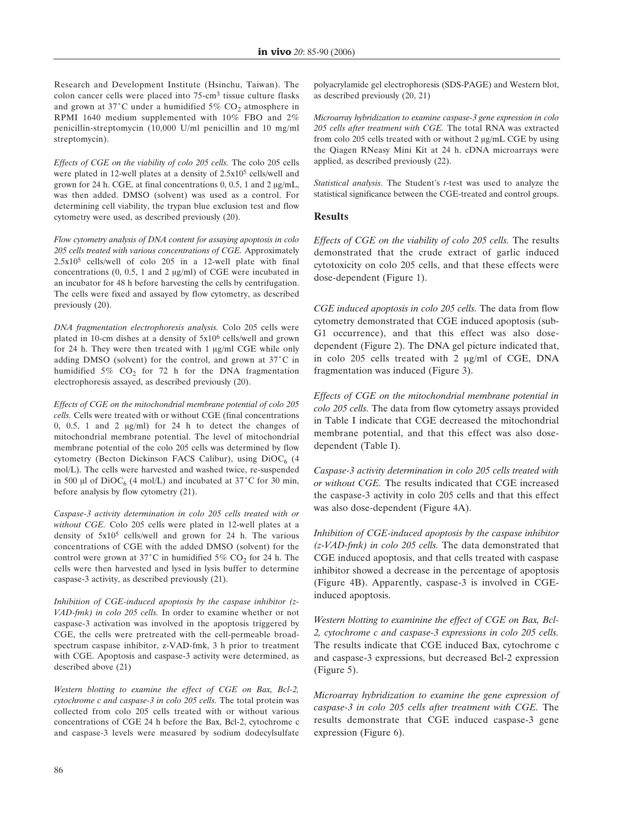Research and Development Institute (Hsinchu, Taiwan). The colon cancer cells were placed into 75-cm3 tissue culture flasks and grown at  $37^{\circ}$ C under a humidified  $5\%$  CO<sub>2</sub> atmosphere in RPMI 1640 medium supplemented with 10% FBO and 2% penicillin-streptomycin (10,000 U/ml penicillin and 10 mg/ml streptomycin).

*Effects of CGE on the viability of colo 205 cells.* The colo 205 cells were plated in 12-well plates at a density of  $2.5x10<sup>5</sup>$  cells/well and grown for 24 h. CGE, at final concentrations  $0, 0.5, 1$  and  $2 \mu g/mL$ , was then added. DMSO (solvent) was used as a control. For determining cell viability, the trypan blue exclusion test and flow cytometry were used, as described previously (20).

*Flow cytometry analysis of DNA content for assaying apoptosis in colo 205 cells treated with various concentrations of CGE.* Approximately 2.5x105 cells/well of colo 205 in a 12-well plate with final concentrations  $(0, 0.5, 1 \text{ and } 2 \text{ µg/ml})$  of CGE were incubated in an incubator for 48 h before harvesting the cells by centrifugation. The cells were fixed and assayed by flow cytometry, as described previously (20).

*DNA fragmentation electrophoresis analysis.* Colo 205 cells were plated in 10-cm dishes at a density of 5x106 cells/well and grown for 24 h. They were then treated with  $1 \mu g/ml$  CGE while only adding DMSO (solvent) for the control, and grown at  $37^{\circ}$ C in humidified  $5\%$  CO<sub>2</sub> for 72 h for the DNA fragmentation electrophoresis assayed, as described previously (20).

*Effects of CGE on the mitochondrial membrane potential of colo 205 cells.* Cells were treated with or without CGE (final concentrations 0, 0.5, 1 and 2  $\mu$ g/ml) for 24 h to detect the changes of mitochondrial membrane potential. The level of mitochondrial membrane potential of the colo 205 cells was determined by flow cytometry (Becton Dickinson FACS Calibur), using  $DiOC_6$  (4 mol/L). The cells were harvested and washed twice, re-suspended in 500 µl of DiOC<sub>6</sub> (4 mol/L) and incubated at  $37^{\circ}$ C for 30 min, before analysis by flow cytometry (21).

*Caspase-3 activity determination in colo 205 cells treated with or without CGE.* Colo 205 cells were plated in 12-well plates at a density of 5x105 cells/well and grown for 24 h. The various concentrations of CGE with the added DMSO (solvent) for the control were grown at  $37^{\circ}$ C in humidified  $5\%$  CO<sub>2</sub> for 24 h. The cells were then harvested and lysed in lysis buffer to determine caspase-3 activity, as described previously (21).

*Inhibition of CGE-induced apoptosis by the caspase inhibitor (z-VAD-fmk) in colo 205 cells.* In order to examine whether or not caspase-3 activation was involved in the apoptosis triggered by CGE, the cells were pretreated with the cell-permeable broadspectrum caspase inhibitor, z-VAD-fmk, 3 h prior to treatment with CGE. Apoptosis and caspase-3 activity were determined, as described above (21)

*Western blotting to examine the effect of CGE on Bax, Bcl-2, cytochrome c and caspase-3 in colo 205 cells.* The total protein was collected from colo 205 cells treated with or without various concentrations of CGE 24 h before the Bax, Bcl-2, cytochrome c and caspase-3 levels were measured by sodium dodecylsulfate

polyacrylamide gel electrophoresis (SDS-PAGE) and Western blot, as described previously (20, 21)

*Microarray hybridization to examine caspase-3 gene expression in colo 205 cells after treatment with CGE.* The total RNA was extracted from colo 205 cells treated with or without 2 µg/mL CGE by using the Qiagen RNeasy Mini Kit at 24 h. cDNA microarrays were applied, as described previously (22).

*Statistical analysis.* The Student's *t*-test was used to analyze the statistical significance between the CGE-treated and control groups.

# **Results**

*Effects of CGE on the viability of colo 205 cells.* The results demonstrated that the crude extract of garlic induced cytotoxicity on colo 205 cells, and that these effects were dose-dependent (Figure 1).

*CGE induced apoptosis in colo 205 cells.* The data from flow cytometry demonstrated that CGE induced apoptosis (sub-G1 occurrence), and that this effect was also dosedependent (Figure 2). The DNA gel picture indicated that, in colo  $205$  cells treated with 2  $\mu$ g/ml of CGE, DNA fragmentation was induced (Figure 3).

*Effects of CGE on the mitochondrial membrane potential in colo 205 cells.* The data from flow cytometry assays provided in Table I indicate that CGE decreased the mitochondrial membrane potential, and that this effect was also dosedependent (Table I).

*Caspase-3 activity determination in colo 205 cells treated with or without CGE.* The results indicated that CGE increased the caspase-3 activity in colo 205 cells and that this effect was also dose-dependent (Figure 4A).

*Inhibition of CGE-induced apoptosis by the caspase inhibitor (z-VAD-fmk) in colo 205 cells.* The data demonstrated that CGE induced apoptosis, and that cells treated with caspase inhibitor showed a decrease in the percentage of apoptosis (Figure 4B). Apparently, caspase-3 is involved in CGEinduced apoptosis.

*Western blotting to examinine the effect of CGE on Bax, Bcl-2, cytochrome c and caspase-3 expressions in colo 205 cells.* The results indicate that CGE induced Bax, cytochrome c and caspase-3 expressions, but decreased Bcl-2 expression (Figure 5).

*Microarray hybridization to examine the gene expression of caspase-3 in colo 205 cells after treatment with CGE.* The results demonstrate that CGE induced caspase-3 gene expression (Figure 6).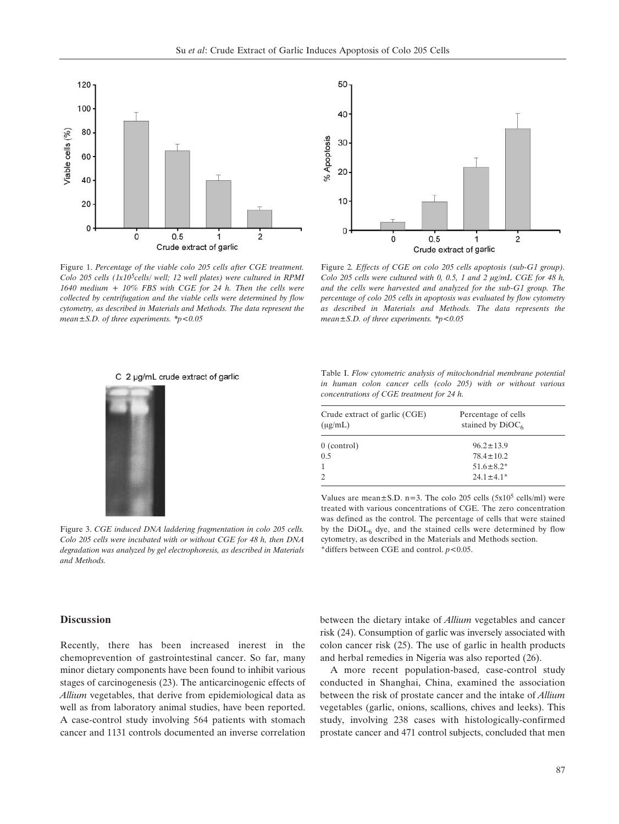

Figure 1. *Percentage of the viable colo 205 cells after CGE treatment. Colo 205 cells (1x105cells/ well; 12 well plates) were cultured in RPMI 1640 medium + 10% FBS with CGE for 24 h. Then the cells were collected by centrifugation and the viable cells were determined by flow cytometry, as described in Materials and Methods. The data represent the mean±S.D. of three experiments. \*p<0.05*



Figure 2*. Effects of CGE on colo 205 cells apoptosis (sub-G1 group). Colo 205 cells were cultured with 0, 0.5, 1 and 2 µg/mL CGE for 48 h, and the cells were harvested and analyzed for the sub-G1 group. The percentage of colo 205 cells in apoptosis was evaluated by flow cytometry as described in Materials and Methods. The data represents the mean±S.D. of three experiments. \*p<0.05*



C 2 µg/mL crude extract of garlic

Table I. *Flow cytometric analysis of mitochondrial membrane potential in human colon cancer cells (colo 205) with or without various concentrations of CGE treatment for 24 h.*

| Crude extract of garlic (CGE)<br>$(\mu g/mL)$ | Percentage of cells<br>stained by $DiOC6$ |
|-----------------------------------------------|-------------------------------------------|
| 0 (control)                                   | $96.2 \pm 13.9$                           |
| 0.5                                           | $78.4 \pm 10.2$                           |
| 1                                             | $51.6 \pm 8.2^*$                          |
| 2                                             | $24.1 \pm 4.1^*$                          |

Values are mean $\pm$ S.D. n=3. The colo 205 cells (5x10<sup>5</sup> cells/ml) were treated with various concentrations of CGE. The zero concentration was defined as the control. The percentage of cells that were stained by the  $DiOL<sub>6</sub>$  dye, and the stained cells were determined by flow cytometry, as described in the Materials and Methods section. \*differs between CGE and control. *p*<0.05.

#### **Discussion**

*and Methods.*

Recently, there has been increased inerest in the chemoprevention of gastrointestinal cancer. So far, many minor dietary components have been found to inhibit various stages of carcinogenesis (23). The anticarcinogenic effects of *Allium* vegetables, that derive from epidemiological data as well as from laboratory animal studies, have been reported. A case-control study involving 564 patients with stomach cancer and 1131 controls documented an inverse correlation

Figure 3. *CGE induced DNA laddering fragmentation in colo 205 cells. Colo 205 cells were incubated with or without CGE for 48 h, then DNA degradation was analyzed by gel electrophoresis, as described in Materials*

> between the dietary intake of *Allium* vegetables and cancer risk (24). Consumption of garlic was inversely associated with colon cancer risk (25). The use of garlic in health products and herbal remedies in Nigeria was also reported (26).

> A more recent population-based, case-control study conducted in Shanghai, China, examined the association between the risk of prostate cancer and the intake of *Allium* vegetables (garlic, onions, scallions, chives and leeks). This study, involving 238 cases with histologically-confirmed prostate cancer and 471 control subjects, concluded that men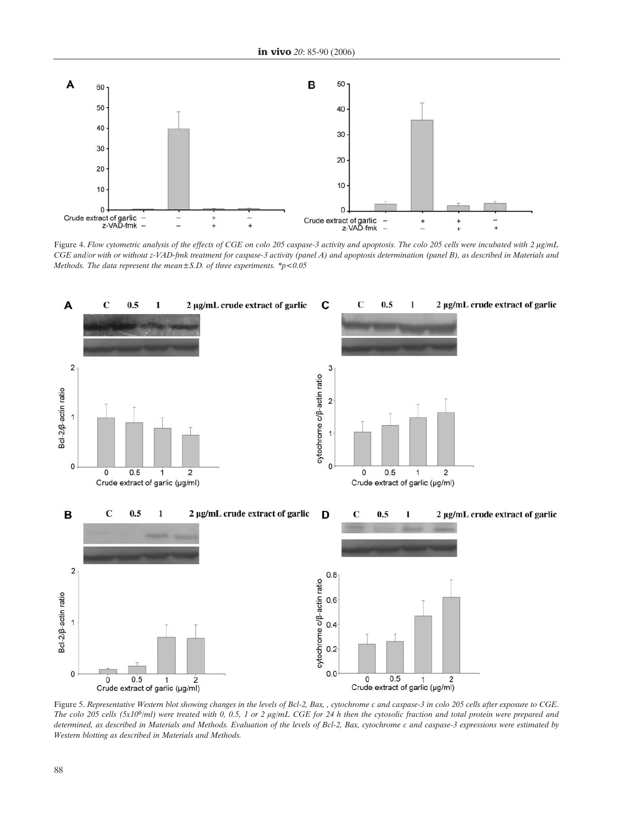

Figure 4. Flow cytometric analysis of the effects of CGE on colo 205 caspase-3 activity and apoptosis. The colo 205 cells were incubated with 2 µg/mL *CGE and/or with or without z-VAD-fmk treatment for caspase-3 activity (panel A) and apoptosis determination (panel B), as described in Materials and Methods. The data represent the mean±S.D. of three experiments. \*p<0.05*



Figure 5. *Representative Western blot showing changes in the levels of Bcl-2, Bax, , cytochrome c and caspase-3 in colo 205 cells after exposure to CGE.* The colo 205 cells (5x10<sup>6</sup>/ml) were treated with 0, 0.5, 1 or 2 µg/mL CGE for 24 h then the cytosolic fraction and total protein were prepared and *determined, as described in Materials and Methods. Evaluation of the levels of Bcl-2, Bax, cytochrome c and caspase-3 expressions were estimated by Western blotting as described in Materials and Methods.*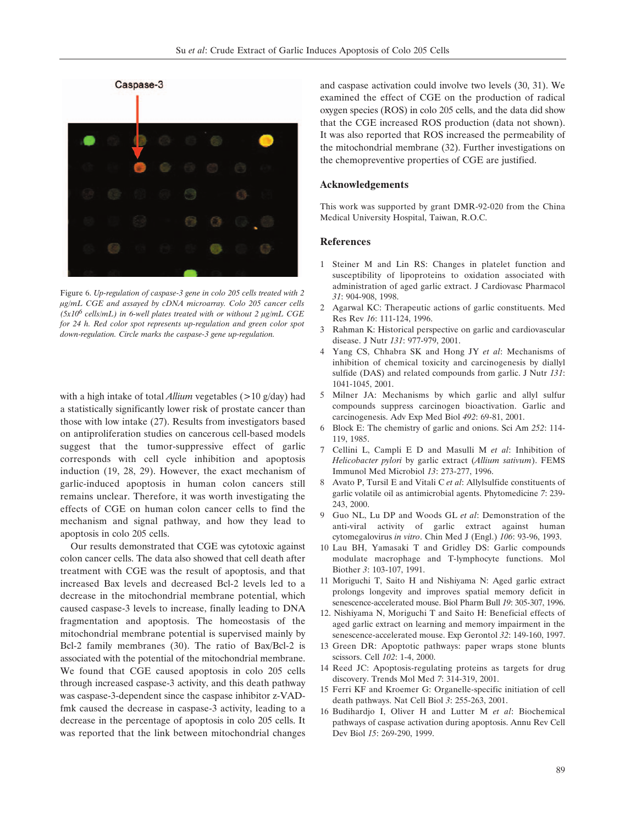

Figure 6. *Up-regulation of caspase-3 gene in colo 205 cells treated with 2 Ìg/mL CGE and assayed by cDNA microarray. Colo 205 cancer cells*  $(5x10^6 \text{ cells/mL})$  in 6-well plates treated with or without 2  $\mu$ g/mL CGE *for 24 h. Red color spot represents up-regulation and green color spot down-regulation. Circle marks the caspase-3 gene up-regulation.*

with a high intake of total *Allium* vegetables (>10 g/day) had a statistically significantly lower risk of prostate cancer than those with low intake (27). Results from investigators based on antiproliferation studies on cancerous cell-based models suggest that the tumor-suppressive effect of garlic corresponds with cell cycle inhibition and apoptosis induction (19, 28, 29). However, the exact mechanism of garlic-induced apoptosis in human colon cancers still remains unclear. Therefore, it was worth investigating the effects of CGE on human colon cancer cells to find the mechanism and signal pathway, and how they lead to apoptosis in colo 205 cells.

Our results demonstrated that CGE was cytotoxic against colon cancer cells. The data also showed that cell death after treatment with CGE was the result of apoptosis, and that increased Bax levels and decreased Bcl-2 levels led to a decrease in the mitochondrial membrane potential, which caused caspase-3 levels to increase, finally leading to DNA fragmentation and apoptosis. The homeostasis of the mitochondrial membrane potential is supervised mainly by Bcl-2 family membranes (30). The ratio of Bax/Bcl-2 is associated with the potential of the mitochondrial membrane. We found that CGE caused apoptosis in colo 205 cells through increased caspase-3 activity, and this death pathway was caspase-3-dependent since the caspase inhibitor z-VADfmk caused the decrease in caspase-3 activity, leading to a decrease in the percentage of apoptosis in colo 205 cells. It was reported that the link between mitochondrial changes

and caspase activation could involve two levels (30, 31). We examined the effect of CGE on the production of radical oxygen species (ROS) in colo 205 cells, and the data did show that the CGE increased ROS production (data not shown). It was also reported that ROS increased the permeability of the mitochondrial membrane (32). Further investigations on the chemopreventive properties of CGE are justified.

# **Acknowledgements**

This work was supported by grant DMR-92-020 from the China Medical University Hospital, Taiwan, R.O.C.

# **References**

- 1 Steiner M and Lin RS: Changes in platelet function and susceptibility of lipoproteins to oxidation associated with administration of aged garlic extract. J Cardiovasc Pharmacol *31*: 904-908, 1998.
- 2 Agarwal KC: Therapeutic actions of garlic constituents. Med Res Rev *16*: 111-124, 1996.
- 3 Rahman K: Historical perspective on garlic and cardiovascular disease. J Nutr *131*: 977-979, 2001.
- 4 Yang CS, Chhabra SK and Hong JY *et al*: Mechanisms of inhibition of chemical toxicity and carcinogenesis by diallyl sulfide (DAS) and related compounds from garlic. J Nutr *131*: 1041-1045, 2001.
- 5 Milner JA: Mechanisms by which garlic and allyl sulfur compounds suppress carcinogen bioactivation. Garlic and carcinogenesis. Adv Exp Med Biol *492*: 69-81, 2001.
- 6 Block E: The chemistry of garlic and onions. Sci Am *252*: 114- 119, 1985.
- 7 Cellini L, Campli E D and Masulli M *et al*: Inhibition of *Helicobacter pylori* by garlic extract (*Allium sativum*). FEMS Immunol Med Microbiol *13*: 273-277, 1996.
- 8 Avato P, Tursil E and Vitali C *et al*: Allylsulfide constituents of garlic volatile oil as antimicrobial agents. Phytomedicine *7*: 239- 243, 2000.
- 9 Guo NL, Lu DP and Woods GL *et al*: Demonstration of the anti-viral activity of garlic extract against human cytomegalovirus *in vitro*. Chin Med J (Engl.) *106*: 93-96, 1993.
- 10 Lau BH, Yamasaki T and Gridley DS: Garlic compounds modulate macrophage and T-lymphocyte functions. Mol Biother *3*: 103-107, 1991.
- 11 Moriguchi T, Saito H and Nishiyama N: Aged garlic extract prolongs longevity and improves spatial memory deficit in senescence-accelerated mouse. Biol Pharm Bull *19*: 305-307, 1996.
- 12. Nishiyama N, Moriguchi T and Saito H: Beneficial effects of aged garlic extract on learning and memory impairment in the senescence-accelerated mouse. Exp Gerontol *32*: 149-160, 1997.
- 13 Green DR: Apoptotic pathways: paper wraps stone blunts scissors. Cell *102*: 1-4, 2000.
- 14 Reed JC: Apoptosis-regulating proteins as targets for drug discovery. Trends Mol Med *7*: 314-319, 2001.
- 15 Ferri KF and Kroemer G: Organelle-specific initiation of cell death pathways. Nat Cell Biol *3*: 255-263, 2001.
- 16 Budihardjo I, Oliver H and Lutter M *et al*: Biochemical pathways of caspase activation during apoptosis. Annu Rev Cell Dev Biol *15*: 269-290, 1999.